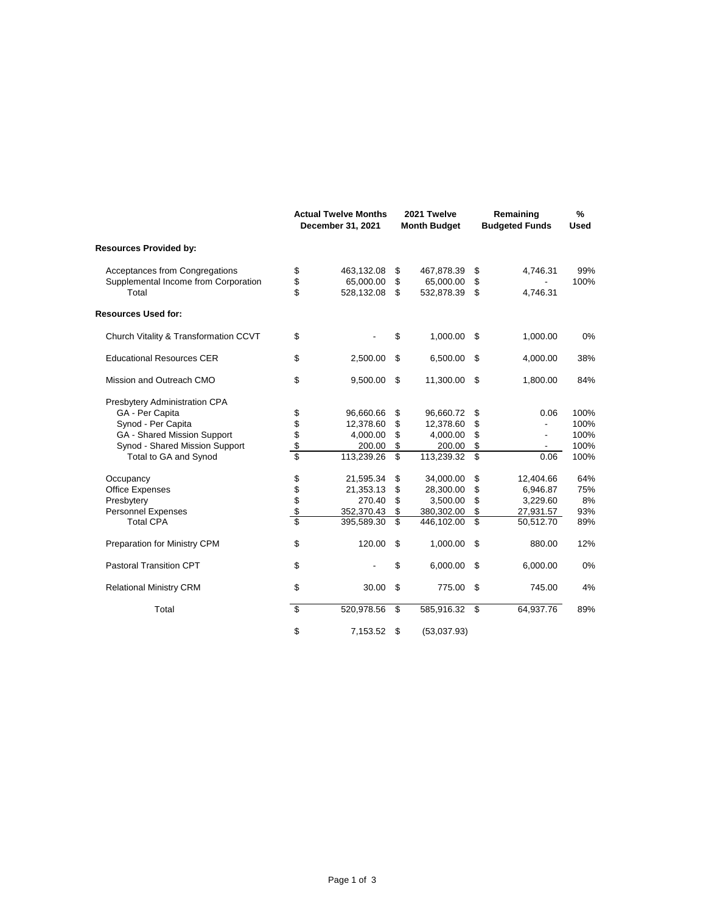|                                               |            | <b>Actual Twelve Months</b><br>December 31, 2021 |          | 2021 Twelve<br><b>Month Budget</b> |          | Remaining<br><b>Budgeted Funds</b> |      |
|-----------------------------------------------|------------|--------------------------------------------------|----------|------------------------------------|----------|------------------------------------|------|
| <b>Resources Provided by:</b>                 |            |                                                  |          |                                    |          |                                    |      |
| Acceptances from Congregations                | \$         | 463,132.08                                       | \$       | 467,878.39                         | \$       | 4,746.31                           | 99%  |
| Supplemental Income from Corporation<br>Total | \$<br>\$   | 65,000.00<br>528,132.08                          | \$<br>\$ | 65,000.00<br>532,878.39            | \$<br>\$ | 4,746.31                           | 100% |
| <b>Resources Used for:</b>                    |            |                                                  |          |                                    |          |                                    |      |
| Church Vitality & Transformation CCVT         | \$         |                                                  | \$       | 1,000.00                           | \$       | 1,000.00                           | 0%   |
| <b>Educational Resources CER</b>              | \$         | 2,500.00                                         | \$       | 6,500.00                           | \$       | 4,000.00                           | 38%  |
| Mission and Outreach CMO                      | \$         | 9,500.00                                         | \$       | 11,300.00                          | \$       | 1,800.00                           | 84%  |
| Presbytery Administration CPA                 |            |                                                  |          |                                    |          |                                    |      |
| GA - Per Capita                               |            | 96,660.66                                        | \$       | 96,660.72                          | \$       | 0.06                               | 100% |
| Synod - Per Capita                            | \$\$\$\$\$ | 12,378.60                                        | \$       | 12,378.60                          | \$       |                                    | 100% |
| GA - Shared Mission Support                   |            | 4,000.00                                         | \$       | 4,000.00                           | \$       |                                    | 100% |
| Synod - Shared Mission Support                |            | 200.00                                           | \$       | 200.00                             | \$       | $\overline{\phantom{a}}$           | 100% |
| Total to GA and Synod                         |            | 113,239.26                                       | \$       | 113,239.32                         | \$       | 0.06                               | 100% |
| Occupancy                                     | \$\$\$     | 21,595.34                                        | \$       | 34,000.00                          | \$       | 12,404.66                          | 64%  |
| <b>Office Expenses</b>                        |            | 21,353.13                                        | \$       | 28,300.00                          | \$       | 6,946.87                           | 75%  |
| Presbytery                                    |            | 270.40                                           | \$       | 3,500.00                           | \$       | 3,229.60                           | 8%   |
| Personnel Expenses                            |            | 352,370.43                                       | \$       | 380,302.00                         | \$       | 27,931.57                          | 93%  |
| <b>Total CPA</b>                              | \$         | 395,589.30                                       | \$       | 446,102.00                         | \$       | 50,512.70                          | 89%  |
| Preparation for Ministry CPM                  | \$         | 120.00                                           | \$       | 1,000.00                           | \$       | 880.00                             | 12%  |
| <b>Pastoral Transition CPT</b>                | \$         |                                                  | \$       | 6,000.00                           | \$       | 6,000.00                           | 0%   |
| <b>Relational Ministry CRM</b>                | \$         | 30.00                                            | \$       | 775.00                             | \$       | 745.00                             | 4%   |
| Total                                         | \$         | 520,978.56                                       | \$       | 585,916.32                         | \$       | 64,937.76                          | 89%  |
|                                               | \$         | 7,153.52                                         | \$       | (53,037.93)                        |          |                                    |      |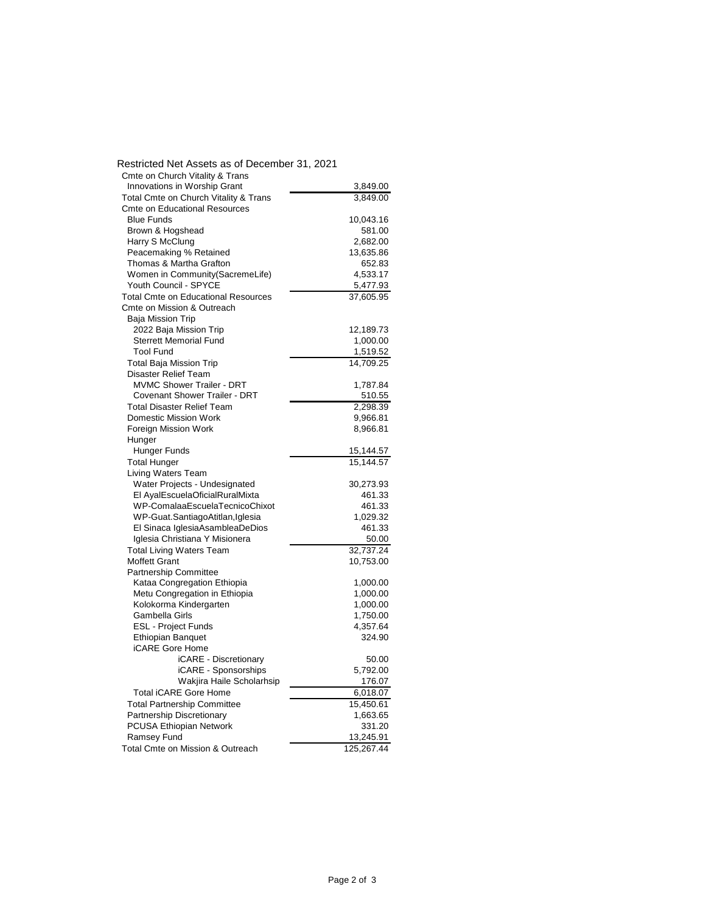| Restricted Net Assets as of December 31, 2021 |            |
|-----------------------------------------------|------------|
| Cmte on Church Vitality & Trans               |            |
| Innovations in Worship Grant                  | 3,849.00   |
| Total Cmte on Church Vitality & Trans         | 3,849.00   |
| <b>Cmte on Educational Resources</b>          |            |
| <b>Blue Funds</b>                             | 10,043.16  |
| Brown & Hogshead                              | 581.00     |
| Harry S McClung                               | 2,682.00   |
| Peacemaking % Retained                        | 13,635.86  |
| Thomas & Martha Grafton                       | 652.83     |
| Women in Community(SacremeLife)               | 4,533.17   |
| Youth Council - SPYCE                         | 5,477.93   |
| <b>Total Cmte on Educational Resources</b>    | 37,605.95  |
| Cmte on Mission & Outreach                    |            |
| Baja Mission Trip                             |            |
| 2022 Baja Mission Trip                        | 12,189.73  |
| <b>Sterrett Memorial Fund</b>                 | 1,000.00   |
| <b>Tool Fund</b>                              | 1,519.52   |
| <b>Total Baja Mission Trip</b>                | 14,709.25  |
| Disaster Relief Team                          |            |
| <b>MVMC Shower Trailer - DRT</b>              | 1,787.84   |
| Covenant Shower Trailer - DRT                 |            |
|                                               | 510.55     |
| <b>Total Disaster Relief Team</b>             | 2,298.39   |
| Domestic Mission Work                         | 9,966.81   |
| Foreign Mission Work                          | 8,966.81   |
| Hunger                                        |            |
| Hunger Funds                                  | 15,144.57  |
| <b>Total Hunger</b>                           | 15,144.57  |
| Living Waters Team                            |            |
| Water Projects - Undesignated                 | 30,273.93  |
| El AyalEscuelaOficialRuralMixta               | 461.33     |
| WP-ComalaaEscuelaTecnicoChixot                | 461.33     |
| WP-Guat.SantiagoAtitlan,Iglesia               | 1,029.32   |
| El Sinaca IglesiaAsambleaDeDios               | 461.33     |
| Iglesia Christiana Y Misionera                | 50.00      |
| <b>Total Living Waters Team</b>               | 32.737.24  |
| <b>Moffett Grant</b>                          | 10,753.00  |
| Partnership Committee                         |            |
| Kataa Congregation Ethiopia                   | 1,000.00   |
| Metu Congregation in Ethiopia                 | 1,000.00   |
| Kolokorma Kindergarten                        | 1,000.00   |
| Gambella Girls                                | 1,750.00   |
| <b>ESL - Project Funds</b>                    | 4,357.64   |
| <b>Ethiopian Banquet</b>                      | 324.90     |
| <b>iCARE Gore Home</b>                        |            |
| iCARE - Discretionary                         | 50.00      |
| iCARE - Sponsorships                          | 5,792.00   |
| Wakjira Haile Scholarhsip                     | 176.07     |
| Total iCARE Gore Home                         | 6,018.07   |
| <b>Total Partnership Committee</b>            | 15,450.61  |
| Partnership Discretionary                     | 1,663.65   |
| PCUSA Ethiopian Network                       | 331.20     |
| Ramsey Fund                                   | 13,245.91  |
| Total Cmte on Mission & Outreach              | 125,267.44 |
|                                               |            |

Restricted Net Assets as of December 31, 2021